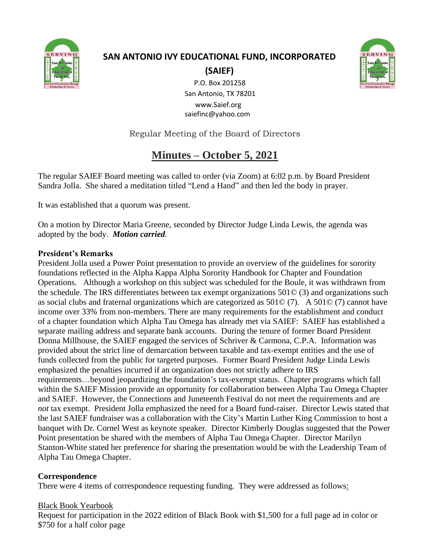

# **SAN ANTONIO IVY EDUCATIONAL FUND, INCORPORATED (SAIEF)**



 P.O. Box 201258 San Antonio, TX 78201 www.Saief.org saiefinc@yahoo.com

Regular Meeting of the Board of Directors

## **Minutes – October 5, 2021**

The regular SAIEF Board meeting was called to order (via Zoom) at 6:02 p.m. by Board President Sandra Jolla. She shared a meditation titled "Lend a Hand" and then led the body in prayer.

It was established that a quorum was present.

On a motion by Director Maria Greene, seconded by Director Judge Linda Lewis, the agenda was adopted by the body. *Motion carried.*

## **President's Remarks**

President Jolla used a Power Point presentation to provide an overview of the guidelines for sorority foundations reflected in the Alpha Kappa Alpha Sorority Handbook for Chapter and Foundation Operations. Although a workshop on this subject was scheduled for the Boule, it was withdrawn from the schedule. The IRS differentiates between tax exempt organizations 501© (3) and organizations such as social clubs and fraternal organizations which are categorized as 501© (7). A 501© (7) cannot have income over 33% from non-members. There are many requirements for the establishment and conduct of a chapter foundation which Alpha Tau Omega has already met via SAIEF: SAIEF has established a separate mailing address and separate bank accounts. During the tenure of former Board President Donna Millhouse, the SAIEF engaged the services of Schriver & Carmona, C.P.A. Information was provided about the strict line of demarcation between taxable and tax-exempt entities and the use of funds collected from the public for targeted purposes. Former Board President Judge Linda Lewis emphasized the penalties incurred if an organization does not strictly adhere to IRS requirements…beyond jeopardizing the foundation's tax-exempt status. Chapter programs which fall within the SAIEF Mission provide an opportunity for collaboration between Alpha Tau Omega Chapter and SAIEF. However, the Connections and Juneteenth Festival do not meet the requirements and are *not* tax exempt. President Jolla emphasized the need for a Board fund-raiser. Director Lewis stated that the last SAIEF fundraiser was a collaboration with the City's Martin Luther King Commission to host a banquet with Dr. Cornel West as keynote speaker. Director Kimberly Douglas suggested that the Power Point presentation be shared with the members of Alpha Tau Omega Chapter. Director Marilyn Stanton-White stated her preference for sharing the presentation would be with the Leadership Team of Alpha Tau Omega Chapter.

## **Correspondence**

There were 4 items of correspondence requesting funding. They were addressed as follows:

## Black Book Yearbook

Request for participation in the 2022 edition of Black Book with \$1,500 for a full page ad in color or \$750 for a half color page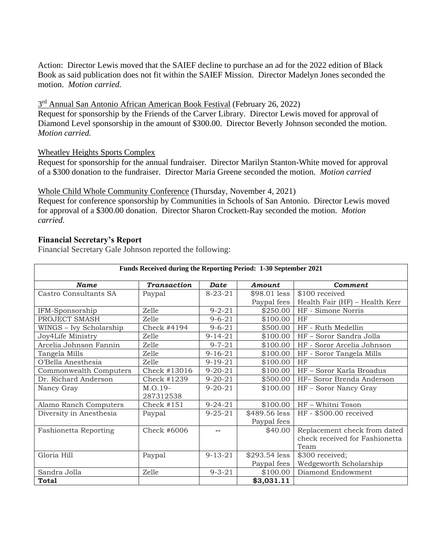Action: Director Lewis moved that the SAIEF decline to purchase an ad for the 2022 edition of Black Book as said publication does not fit within the SAIEF Mission. Director Madelyn Jones seconded the motion. *Motion carried.* 

3<sup>rd</sup> Annual San Antonio African American Book Festival (February 26, 2022)

Request for sponsorship by the Friends of the Carver Library. Director Lewis moved for approval of Diamond Level sponsorship in the amount of \$300.00. Director Beverly Johnson seconded the motion. *Motion carried.*

#### Wheatley Heights Sports Complex

Request for sponsorship for the annual fundraiser. Director Marilyn Stanton-White moved for approval of a \$300 donation to the fundraiser. Director Maria Greene seconded the motion. *Motion carried*

#### Whole Child Whole Community Conference (Thursday, November 4, 2021)

Request for conference sponsorship by Communities in Schools of San Antonio. Director Lewis moved for approval of a \$300.00 donation. Director Sharon Crockett-Ray seconded the motion. *Motion carried.*

#### **Financial Secretary's Report**

Financial Secretary Gale Johnson reported the following:

| Funds Received during the Reporting Period: 1-30 September 2021 |                    |               |               |                                |  |  |  |  |  |  |
|-----------------------------------------------------------------|--------------------|---------------|---------------|--------------------------------|--|--|--|--|--|--|
| <b>Name</b>                                                     | <b>Transaction</b> | <b>Date</b>   | Amount        | <b>Comment</b>                 |  |  |  |  |  |  |
| Castro Consultants SA                                           | Paypal             | $8 - 23 - 21$ | \$98.01 less  | \$100 received                 |  |  |  |  |  |  |
|                                                                 |                    |               | Paypal fees   | Health Fair (HF) - Health Kerr |  |  |  |  |  |  |
| IFM-Sponsorship                                                 | Zelle              | $9 - 2 - 21$  | \$250.00      | HF - Simone Norris             |  |  |  |  |  |  |
| PROJECT SMASH                                                   | Zelle              | $9 - 6 - 21$  | \$100.00      | HF                             |  |  |  |  |  |  |
| WINGS - Ivy Scholarship                                         | Check #4194        | $9 - 6 - 21$  | \$500.00      | HF - Ruth Medellin             |  |  |  |  |  |  |
| Joy4Life Ministry                                               | Zelle              | $9 - 14 - 21$ | \$100.00      | HF - Soror Sandra Jolla        |  |  |  |  |  |  |
| Arcelia Johnson Fannin                                          | Zelle              | $9 - 7 - 21$  | \$100.00      | HF - Soror Arcelia Johnson     |  |  |  |  |  |  |
| Tangela Mills                                                   | Zelle              | $9 - 16 - 21$ | \$100.00      | HF - Soror Tangela Mills       |  |  |  |  |  |  |
| O'Bella Anesthesia                                              | Zelle              | $9 - 19 - 21$ | \$100.00      | HF                             |  |  |  |  |  |  |
| Commonwealth Computers                                          | Check #13016       | $9 - 20 - 21$ | \$100.00      | HF - Soror Karla Broadus       |  |  |  |  |  |  |
| Dr. Richard Anderson                                            | Check #1239        | $9 - 20 - 21$ | \$500.00      | HF- Soror Brenda Anderson      |  |  |  |  |  |  |
| Nancy Gray                                                      | M.O.19-            | $9 - 20 - 21$ | \$100.00      | HF - Soror Nancy Gray          |  |  |  |  |  |  |
|                                                                 | 287312538          |               |               |                                |  |  |  |  |  |  |
| Alamo Ranch Computers                                           | Check #151         | $9 - 24 - 21$ | \$100.00      | HF - Whitni Toson              |  |  |  |  |  |  |
| Diversity in Anesthesia                                         | Paypal             | $9 - 25 - 21$ | \$489.56 less | HF - \$500.00 received         |  |  |  |  |  |  |
|                                                                 |                    |               | Paypal fees   |                                |  |  |  |  |  |  |
| <b>Fashionetta Reporting</b>                                    | Check #6006        |               | \$40.00       | Replacement check from dated   |  |  |  |  |  |  |
|                                                                 |                    |               |               | check received for Fashionetta |  |  |  |  |  |  |
|                                                                 |                    |               |               | Team                           |  |  |  |  |  |  |
| Gloria Hill                                                     | Paypal             | $9 - 13 - 21$ | \$293.54 less | \$300 received;                |  |  |  |  |  |  |
|                                                                 |                    |               | Paypal fees   | Wedgeworth Scholarship         |  |  |  |  |  |  |
| Sandra Jolla                                                    | Zelle              | $9 - 3 - 21$  | \$100.00      | Diamond Endowment              |  |  |  |  |  |  |
| <b>Total</b>                                                    |                    |               | \$3,031.11    |                                |  |  |  |  |  |  |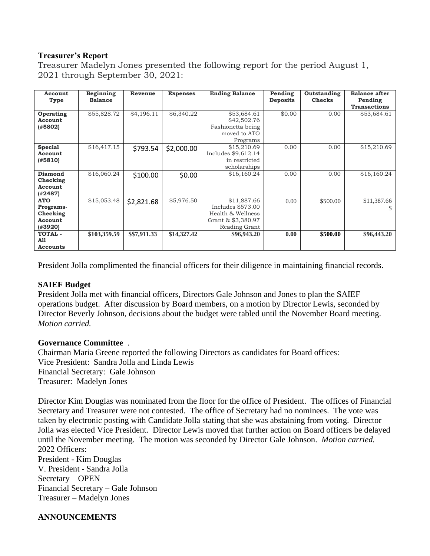#### **Treasurer's Report**

Treasurer Madelyn Jones presented the following report for the period August 1, 2021 through September 30, 2021:

| Account<br>Type                                           | <b>Beginning</b><br><b>Balance</b> | Revenue      | <b>Expenses</b> | <b>Ending Balance</b>                                                                        | Pending<br><b>Deposits</b> | Outstanding<br><b>Checks</b> | <b>Balance after</b><br>Pending<br><b>Transactions</b> |
|-----------------------------------------------------------|------------------------------------|--------------|-----------------|----------------------------------------------------------------------------------------------|----------------------------|------------------------------|--------------------------------------------------------|
| Operating<br>Account<br>(#5802)                           | \$55,828.72                        | \$4,196.11   | \$6,340.22      | \$53,684.61<br>\$42,502.76<br>Fashionetta being<br>moved to ATO<br>Programs                  | \$0.00                     | 0.00                         | \$53,684.61                                            |
| <b>Special</b><br>Account<br>(#5810)                      | \$16,417.15                        | \$793.54     | \$2,000.00      | \$15,210.69<br>Includes \$9,612.14<br>in restricted<br>scholarships                          | 0.00                       | 0.00                         | \$15,210.69                                            |
| <b>Diamond</b><br>Checking<br>Account<br>(#2487)          | \$16,060.24                        | \$100.00     | \$0.00          | \$16,160.24                                                                                  | 0.00                       | 0.00                         | \$16,160.24                                            |
| <b>ATO</b><br>Programs-<br>Checking<br>Account<br>(#3920) | \$15,053.48                        | \$2,821.68   | \$5,976.50      | \$11,887.66<br>Includes \$573.00<br>Health & Wellness<br>Grant & \$3,380.97<br>Reading Grant | 0.00                       | \$500.00                     | \$11,387.66<br>S.                                      |
| <b>TOTAL -</b><br>A11<br>Accounts                         | \$103,359.59                       | \$\$7,911.33 | \$14,327.42     | \$96,943.20                                                                                  | 0.00                       | \$500.00                     | \$96,443.20                                            |

President Jolla complimented the financial officers for their diligence in maintaining financial records.

#### **SAIEF Budget**

President Jolla met with financial officers, Directors Gale Johnson and Jones to plan the SAIEF operations budget. After discussion by Board members, on a motion by Director Lewis, seconded by Director Beverly Johnson, decisions about the budget were tabled until the November Board meeting. *Motion carried.*

#### **Governance Committee** .

Chairman Maria Greene reported the following Directors as candidates for Board offices: Vice President: Sandra Jolla and Linda Lewis Financial Secretary: Gale Johnson Treasurer: Madelyn Jones

Director Kim Douglas was nominated from the floor for the office of President. The offices of Financial Secretary and Treasurer were not contested. The office of Secretary had no nominees. The vote was taken by electronic posting with Candidate Jolla stating that she was abstaining from voting. Director Jolla was elected Vice President. Director Lewis moved that further action on Board officers be delayed until the November meeting. The motion was seconded by Director Gale Johnson. *Motion carried.* 2022 Officers: President - Kim Douglas

V. President - Sandra Jolla Secretary – OPEN Financial Secretary – Gale Johnson Treasurer – Madelyn Jones

## **ANNOUNCEMENTS**